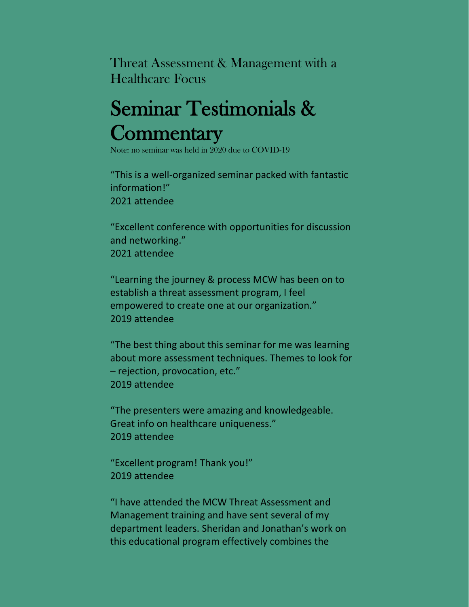Threat Assessment & Management with a Healthcare Focus

## Seminar Testimonials & Commentary<br>Note: no seminar was held in 2020 due to COVID-19

"This is a well-organized seminar packed with fantastic information!" 2021 attendee

"Excellent conference with opportunities for discussion and networking." 2021 attendee

"Learning the journey & process MCW has been on to establish a threat assessment program, I feel empowered to create one at our organization." 2019 attendee

"The best thing about this seminar for me was learning about more assessment techniques. Themes to look for – rejection, provocation, etc." 2019 attendee

"The presenters were amazing and knowledgeable. Great info on healthcare uniqueness." 2019 attendee

"Excellent program! Thank you!" 2019 attendee

"I have attended the MCW Threat Assessment and Management training and have sent several of my department leaders. Sheridan and Jonathan's work on this educational program effectively combines the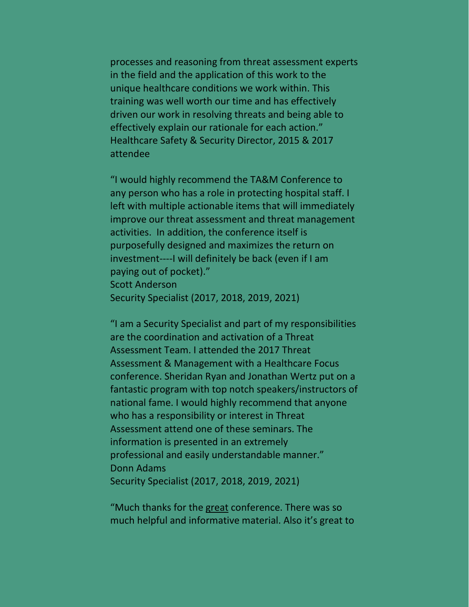processes and reasoning from threat assessment experts in the field and the application of this work to the unique healthcare conditions we work within. This training was well worth our time and has effectively driven our work in resolving threats and being able to effectively explain our rationale for each action." Healthcare Safety & Security Director, 2015 & 2017 attendee

"I would highly recommend the TA&M Conference to any person who has a role in protecting hospital staff. I left with multiple actionable items that will immediately improve our threat assessment and threat management activities. In addition, the conference itself is purposefully designed and maximizes the return on investment----I will definitely be back (even if I am paying out of pocket)." Scott Anderson Security Specialist (2017, 2018, 2019, 2021)

"I am a Security Specialist and part of my responsibilities are the coordination and activation of a Threat Assessment Team. I attended the 2017 Threat Assessment & Management with a Healthcare Focus conference. Sheridan Ryan and Jonathan Wertz put on a fantastic program with top notch speakers/instructors of national fame. I would highly recommend that anyone who has a responsibility or interest in Threat Assessment attend one of these seminars. The information is presented in an extremely professional and easily understandable manner." Donn Adams Security Specialist (2017, 2018, 2019, 2021)

"Much thanks for the great conference. There was so much helpful and informative material. Also it's great to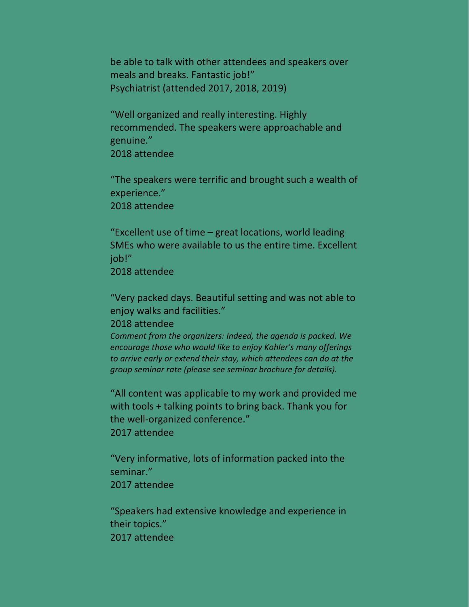be able to talk with other attendees and speakers over meals and breaks. Fantastic job!" Psychiatrist (attended 2017, 2018, 2019)

"Well organized and really interesting. Highly recommended. The speakers were approachable and genuine." 2018 attendee

"The speakers were terrific and brought such a wealth of experience." 2018 attendee

"Excellent use of time – great locations, world leading SMEs who were available to us the entire time. Excellent job!" 2018 attendee

"Very packed days. Beautiful setting and was not able to enjoy walks and facilities."

2018 attendee

*Comment from the organizers: Indeed, the agenda is packed. We encourage those who would like to enjoy Kohler's many offerings to arrive early or extend their stay, which attendees can do at the group seminar rate (please see seminar brochure for details).*

"All content was applicable to my work and provided me with tools + talking points to bring back. Thank you for the well-organized conference." 2017 attendee

"Very informative, lots of information packed into the seminar." 2017 attendee

"Speakers had extensive knowledge and experience in their topics." 2017 attendee